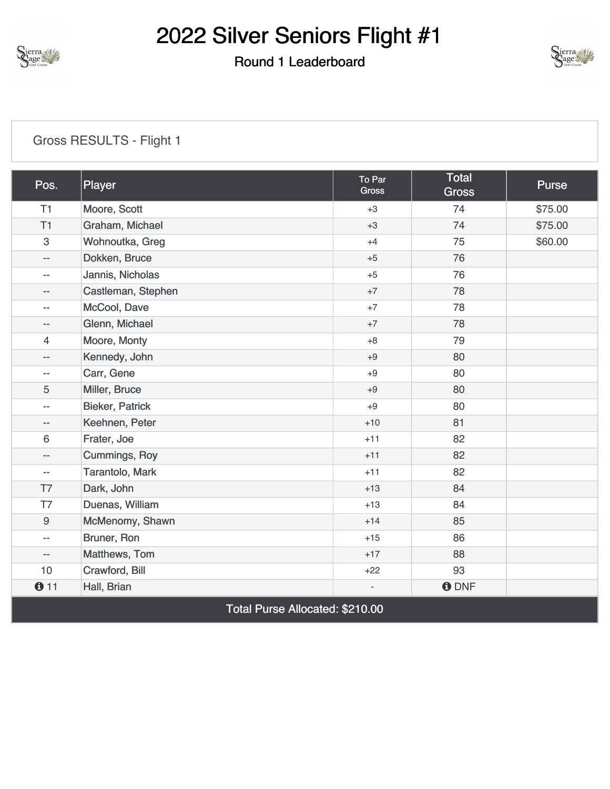

#### Round 1 Leaderboard



#### [Gross RESULTS - Flight 1](https://cdn2.golfgenius.com/v2tournaments/8346651824345850094?called_from=&round_index=1)

| Pos.                           | Player                 | To Par<br>Gross | Total<br><b>Gross</b> | <b>Purse</b> |
|--------------------------------|------------------------|-----------------|-----------------------|--------------|
| T1                             | Moore, Scott           | $+3$            | 74                    | \$75.00      |
| T1                             | Graham, Michael        | $+3$            | 74                    | \$75.00      |
| $\ensuremath{\mathsf{3}}$      | Wohnoutka, Greg        | $+4$            | 75                    | \$60.00      |
| $-\, -$                        | Dokken, Bruce          | $+5$            | 76                    |              |
| $\overline{\phantom{a}}$       | Jannis, Nicholas       | $+5$            | 76                    |              |
| $-$                            | Castleman, Stephen     | $+7$            | 78                    |              |
| $- -$                          | McCool, Dave           | $+7$            | 78                    |              |
| $\overline{\phantom{a}}$       | Glenn, Michael         | $+7$            | 78                    |              |
| 4                              | Moore, Monty           | $+8$            | 79                    |              |
| $-\, -$                        | Kennedy, John          | $+9$            | 80                    |              |
| $-\, -$                        | Carr, Gene             | $+9$            | 80                    |              |
| 5                              | Miller, Bruce          | $+9$            | 80                    |              |
| $-\, -$                        | <b>Bieker, Patrick</b> | $+9$            | 80                    |              |
| $-\, -$                        | Keehnen, Peter         | $+10$           | 81                    |              |
| $\,6\,$                        | Frater, Joe            | $+11$           | 82                    |              |
| $\overline{\phantom{a}}$       | <b>Cummings, Roy</b>   | $+11$           | 82                    |              |
| $\overline{\phantom{a}}$       | Tarantolo, Mark        | $+11$           | 82                    |              |
| T7                             | Dark, John             | $+13$           | 84                    |              |
| T7                             | Duenas, William        | $+13$           | 84                    |              |
| $\boldsymbol{9}$               | McMenomy, Shawn        | $+14$           | 85                    |              |
| $\overline{\phantom{a}}$       | Bruner, Ron            | $+15$           | 86                    |              |
| $\overline{\phantom{a}}$       | Matthews, Tom          | $+17$           | 88                    |              |
| 10                             | Crawford, Bill         | $+22$           | 93                    |              |
| 011                            | Hall, Brian            |                 | <b>ODNF</b>           |              |
| Total Duran Allanatadi MO40 00 |                        |                 |                       |              |

Total Purse Allocated: \$210.00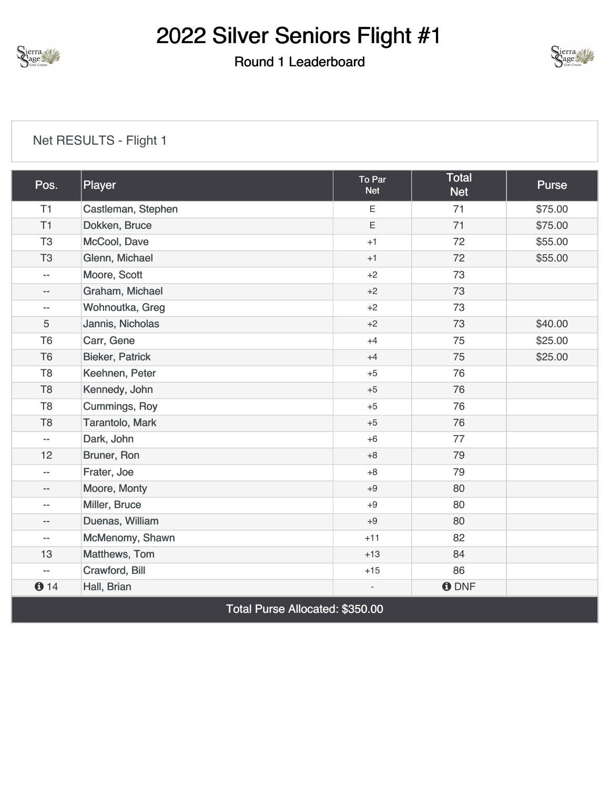

#### Round 1 Leaderboard



| Pos.                                   | Player                 | To Par<br><b>Net</b>     | <b>Total</b><br><b>Net</b> | <b>Purse</b> |
|----------------------------------------|------------------------|--------------------------|----------------------------|--------------|
| T1                                     | Castleman, Stephen     | E                        | 71                         | \$75.00      |
| T1                                     | Dokken, Bruce          | E                        | 71                         | \$75.00      |
| T <sub>3</sub>                         | McCool, Dave           | $+1$                     | 72                         | \$55.00      |
| T <sub>3</sub>                         | Glenn, Michael         | $+1$                     | 72                         | \$55.00      |
| $\overline{\phantom{a}}$               | Moore, Scott           | $+2$                     | 73                         |              |
| $\overline{\phantom{a}}$               | Graham, Michael        | $+2$                     | 73                         |              |
| $\overline{\phantom{a}}$               | Wohnoutka, Greg        | $+2$                     | 73                         |              |
| $\overline{5}$                         | Jannis, Nicholas       | $+2$                     | 73                         | \$40.00      |
| T <sub>6</sub>                         | Carr, Gene             | $+4$                     | 75                         | \$25.00      |
| T <sub>6</sub>                         | <b>Bieker, Patrick</b> | $+4$                     | 75                         | \$25.00      |
| T <sub>8</sub>                         | Keehnen, Peter         | $+5$                     | 76                         |              |
| T <sub>8</sub>                         | Kennedy, John          | $+5$                     | 76                         |              |
| T <sub>8</sub>                         | <b>Cummings, Roy</b>   | $+5$                     | 76                         |              |
| T <sub>8</sub>                         | Tarantolo, Mark        | $+5$                     | 76                         |              |
| $\overline{\phantom{a}}$               | Dark, John             | $+6$                     | 77                         |              |
| 12                                     | Bruner, Ron            | $+8$                     | 79                         |              |
| $\overline{\phantom{a}}$               | Frater, Joe            | $+8$                     | 79                         |              |
| $\overline{\phantom{a}}$               | Moore, Monty           | $+9$                     | 80                         |              |
| $-\, -$                                | Miller, Bruce          | $+9$                     | 80                         |              |
| $- -$                                  | Duenas, William        | $+9$                     | 80                         |              |
| $\overline{\phantom{a}}$               | McMenomy, Shawn        | $+11$                    | 82                         |              |
| 13                                     | Matthews, Tom          | $+13$                    | 84                         |              |
| $\overline{\phantom{m}}$               | Crawford, Bill         | $+15$                    | 86                         |              |
| 014                                    | Hall, Brian            | $\overline{\phantom{a}}$ | <b>ODNF</b>                |              |
| <b>Total Purse Allocated: \$350.00</b> |                        |                          |                            |              |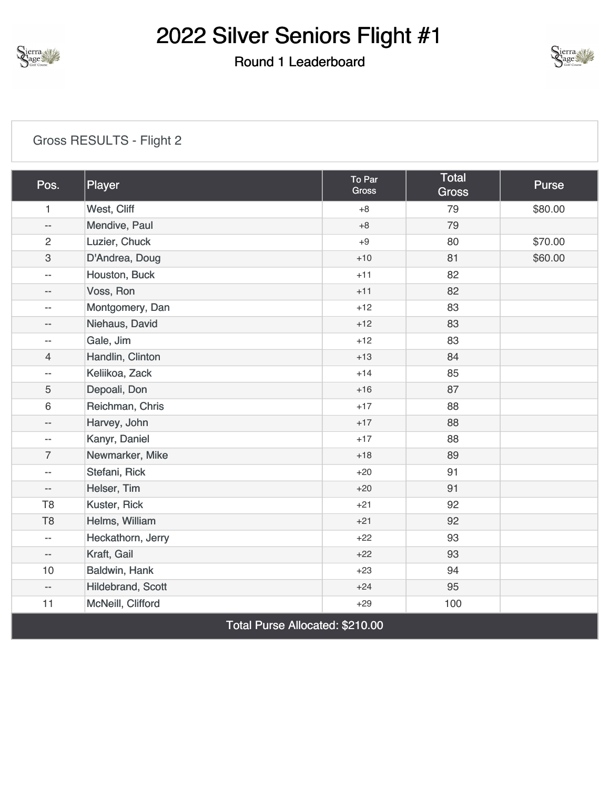

#### Round 1 Leaderboard



#### [Gross RESULTS - Flight 2](https://cdn2.golfgenius.com/v2tournaments/8346651818440270059?called_from=&round_index=1)

| Pos.                     | Player            | To Par<br>Gross | <b>Total</b><br><b>Gross</b> | Purse   |
|--------------------------|-------------------|-----------------|------------------------------|---------|
| $\mathbf{1}$             | West, Cliff       | $+8$            | 79                           | \$80.00 |
| $-\, -$                  | Mendive, Paul     | $+8$            | 79                           |         |
| $\overline{c}$           | Luzier, Chuck     | $+9$            | 80                           | \$70.00 |
| $\mathfrak{S}$           | D'Andrea, Doug    | $+10$           | 81                           | \$60.00 |
| $\overline{\phantom{m}}$ | Houston, Buck     | $+11$           | 82                           |         |
| $ -$                     | Voss, Ron         | $+11$           | 82                           |         |
| $\overline{\phantom{m}}$ | Montgomery, Dan   | $+12$           | 83                           |         |
| $-$                      | Niehaus, David    | $+12$           | 83                           |         |
| $\overline{\phantom{m}}$ | Gale, Jim         | $+12$           | 83                           |         |
| 4                        | Handlin, Clinton  | $+13$           | 84                           |         |
| $-$                      | Keliikoa, Zack    | $+14$           | 85                           |         |
| 5                        | Depoali, Don      | $+16$           | 87                           |         |
| 6                        | Reichman, Chris   | $+17$           | 88                           |         |
| $- -$                    | Harvey, John      | $+17$           | 88                           |         |
| $\overline{\phantom{m}}$ | Kanyr, Daniel     | $+17$           | 88                           |         |
| $\overline{7}$           | Newmarker, Mike   | $+18$           | 89                           |         |
| $\overline{\phantom{m}}$ | Stefani, Rick     | $+20$           | 91                           |         |
| $- -$                    | Helser, Tim       | $+20$           | 91                           |         |
| T <sub>8</sub>           | Kuster, Rick      | $+21$           | 92                           |         |
| T <sub>8</sub>           | Helms, William    | $+21$           | 92                           |         |
| $\overline{\phantom{m}}$ | Heckathorn, Jerry | $+22$           | 93                           |         |
| $ -$                     | Kraft, Gail       | $+22$           | 93                           |         |
| 10                       | Baldwin, Hank     | $+23$           | 94                           |         |
| $- -$                    | Hildebrand, Scott | $+24$           | 95                           |         |
| 11                       | McNeill, Clifford | $+29$           | 100                          |         |

Total Purse Allocated: \$210.00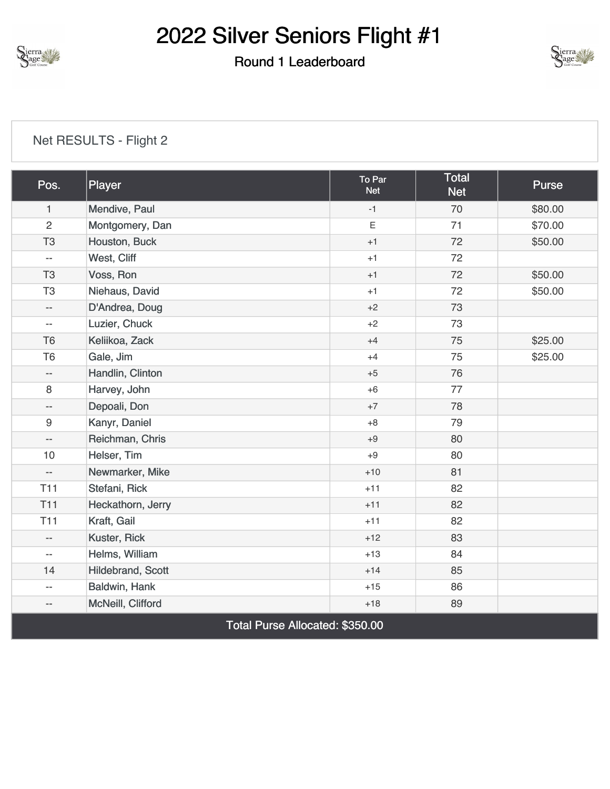

#### Round 1 Leaderboard



| Pos.                            | Player            | To Par<br><b>Net</b> | <b>Total</b><br><b>Net</b> | <b>Purse</b> |
|---------------------------------|-------------------|----------------------|----------------------------|--------------|
| $\mathbf{1}$                    | Mendive, Paul     | $-1$                 | 70                         | \$80.00      |
| 2                               | Montgomery, Dan   | E                    | 71                         | \$70.00      |
| T <sub>3</sub>                  | Houston, Buck     | $+1$                 | 72                         | \$50.00      |
| $\overline{a}$                  | West, Cliff       | $+1$                 | 72                         |              |
| T <sub>3</sub>                  | Voss, Ron         | $+1$                 | 72                         | \$50.00      |
| T <sub>3</sub>                  | Niehaus, David    | $+1$                 | 72                         | \$50.00      |
| $-$                             | D'Andrea, Doug    | $+2$                 | 73                         |              |
| $\overline{\phantom{a}}$        | Luzier, Chuck     | $+2$                 | 73                         |              |
| T <sub>6</sub>                  | Keliikoa, Zack    | $+4$                 | 75                         | \$25.00      |
| T <sub>6</sub>                  | Gale, Jim         | $+4$                 | 75                         | \$25.00      |
| $\overline{\phantom{a}}$        | Handlin, Clinton  | $+5$                 | 76                         |              |
| $\,8\,$                         | Harvey, John      | $+6$                 | 77                         |              |
| --                              | Depoali, Don      | $+7$                 | 78                         |              |
| 9                               | Kanyr, Daniel     | $+8$                 | 79                         |              |
| $ \!-$                          | Reichman, Chris   | $+9$                 | 80                         |              |
| 10                              | Helser, Tim       | $+9$                 | 80                         |              |
| $ \!-$                          | Newmarker, Mike   | $+10$                | 81                         |              |
| <b>T11</b>                      | Stefani, Rick     | $+11$                | 82                         |              |
| <b>T11</b>                      | Heckathorn, Jerry | $+11$                | 82                         |              |
| T11                             | Kraft, Gail       | $+11$                | 82                         |              |
| $\overline{\phantom{a}}$        | Kuster, Rick      | $+12$                | 83                         |              |
| $\overline{\phantom{a}}$        | Helms, William    | $+13$                | 84                         |              |
| 14                              | Hildebrand, Scott | $+14$                | 85                         |              |
| $-$                             | Baldwin, Hank     | $+15$                | 86                         |              |
| $- \, -$                        | McNeill, Clifford | $+18$                | 89                         |              |
| Total Purse Allocated: \$350.00 |                   |                      |                            |              |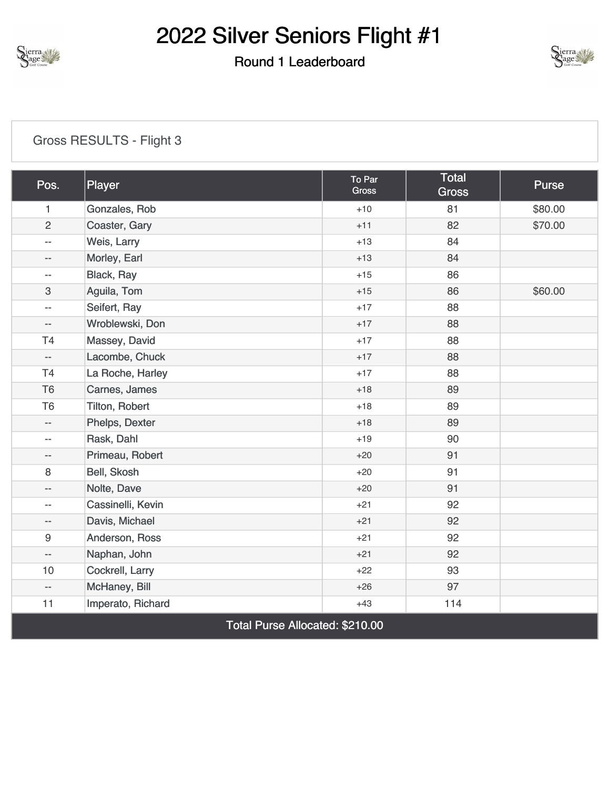

#### Round 1 Leaderboard



#### [Gross RESULTS - Flight 3](https://cdn2.golfgenius.com/v2tournaments/8346651811427393768?called_from=&round_index=1)

| Pos.                            | Player            | To Par<br><b>Gross</b> | <b>Total</b><br><b>Gross</b> | <b>Purse</b> |
|---------------------------------|-------------------|------------------------|------------------------------|--------------|
| $\mathbf{1}$                    | Gonzales, Rob     | $+10$                  | 81                           | \$80.00      |
| $\overline{c}$                  | Coaster, Gary     | $+11$                  | 82                           | \$70.00      |
| $\overline{a}$                  | Weis, Larry       | $+13$                  | 84                           |              |
| $-$                             | Morley, Earl      | $+13$                  | 84                           |              |
| $- -$                           | Black, Ray        | $+15$                  | 86                           |              |
| 3                               | Aguila, Tom       | $+15$                  | 86                           | \$60.00      |
| $-$                             | Seifert, Ray      | $+17$                  | 88                           |              |
| $- -$                           | Wroblewski, Don   | $+17$                  | 88                           |              |
| T <sub>4</sub>                  | Massey, David     | $+17$                  | 88                           |              |
| $\overline{\phantom{a}}$        | Lacombe, Chuck    | $+17$                  | 88                           |              |
| T <sub>4</sub>                  | La Roche, Harley  | $+17$                  | 88                           |              |
| T <sub>6</sub>                  | Carnes, James     | $+18$                  | 89                           |              |
| T <sub>6</sub>                  | Tilton, Robert    | $+18$                  | 89                           |              |
| $\overline{\phantom{a}}$        | Phelps, Dexter    | $+18$                  | 89                           |              |
| $-$                             | Rask, Dahl        | $+19$                  | 90                           |              |
| $- -$                           | Primeau, Robert   | $+20$                  | 91                           |              |
| 8                               | Bell, Skosh       | $+20$                  | 91                           |              |
| $-$                             | Nolte, Dave       | $+20$                  | 91                           |              |
| $-$                             | Cassinelli, Kevin | $+21$                  | 92                           |              |
| $\overline{\phantom{a}}$        | Davis, Michael    | $+21$                  | 92                           |              |
| 9                               | Anderson, Ross    | $+21$                  | 92                           |              |
| $-\, -$                         | Naphan, John      | $+21$                  | 92                           |              |
| 10                              | Cockrell, Larry   | $+22$                  | 93                           |              |
| $\overline{\phantom{a}}$        | McHaney, Bill     | $+26$                  | 97                           |              |
| 11                              | Imperato, Richard | $+43$                  | 114                          |              |
| Total Purse Allocated: \$210.00 |                   |                        |                              |              |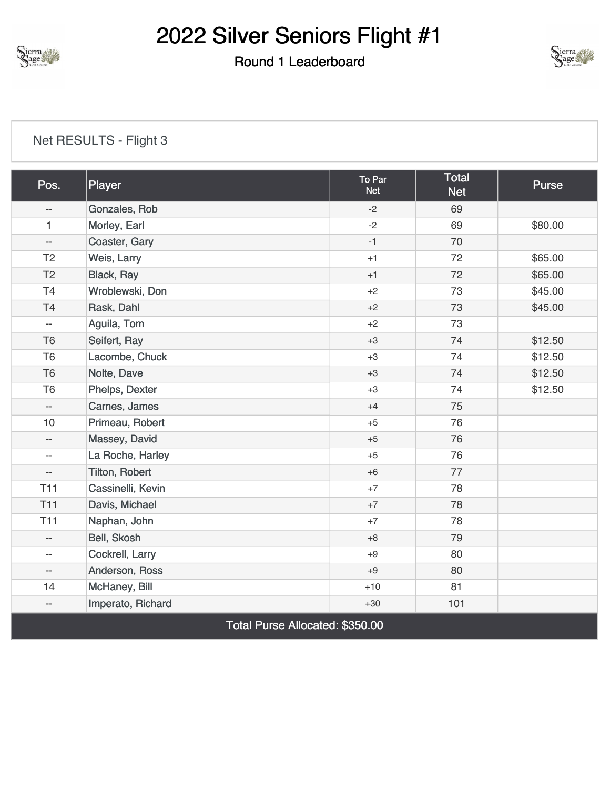

#### Round 1 Leaderboard



| Pos.                            | Player            | To Par<br><b>Net</b> | <b>Total</b><br><b>Net</b> | <b>Purse</b> |
|---------------------------------|-------------------|----------------------|----------------------------|--------------|
| $-$                             | Gonzales, Rob     | $-2$                 | 69                         |              |
| 1                               | Morley, Earl      | $-2$                 | 69                         | \$80.00      |
| $\overline{\phantom{a}}$        | Coaster, Gary     | $-1$                 | 70                         |              |
| T <sub>2</sub>                  | Weis, Larry       | $+1$                 | 72                         | \$65.00      |
| T <sub>2</sub>                  | <b>Black, Ray</b> | $+1$                 | 72                         | \$65.00      |
| T4                              | Wroblewski, Don   | $+2$                 | 73                         | \$45.00      |
| T <sub>4</sub>                  | Rask, Dahl        | $+2$                 | 73                         | \$45.00      |
| $\overline{\phantom{a}}$        | Aguila, Tom       | $+2$                 | 73                         |              |
| T <sub>6</sub>                  | Seifert, Ray      | $+3$                 | 74                         | \$12.50      |
| T <sub>6</sub>                  | Lacombe, Chuck    | $+3$                 | 74                         | \$12.50      |
| T <sub>6</sub>                  | Nolte, Dave       | $+3$                 | 74                         | \$12.50      |
| T <sub>6</sub>                  | Phelps, Dexter    | $+3$                 | 74                         | \$12.50      |
| $\overline{\phantom{a}}$        | Carnes, James     | $+4$                 | 75                         |              |
| 10                              | Primeau, Robert   | $+5$                 | 76                         |              |
| $-$                             | Massey, David     | $+5$                 | 76                         |              |
| $\overline{\phantom{a}}$        | La Roche, Harley  | $+5$                 | 76                         |              |
| $\overline{\phantom{a}}$        | Tilton, Robert    | $+6$                 | 77                         |              |
| T <sub>11</sub>                 | Cassinelli, Kevin | $+7$                 | 78                         |              |
| <b>T11</b>                      | Davis, Michael    | $+7$                 | 78                         |              |
| T <sub>11</sub>                 | Naphan, John      | $+7$                 | 78                         |              |
| $-$                             | Bell, Skosh       | $+8$                 | 79                         |              |
| $\overline{\phantom{a}}$        | Cockrell, Larry   | $+9$                 | 80                         |              |
| $\overline{\phantom{a}}$        | Anderson, Ross    | $+9$                 | 80                         |              |
| 14                              | McHaney, Bill     | $+10$                | 81                         |              |
| $\overline{\phantom{a}}$        | Imperato, Richard | $+30$                | 101                        |              |
| Total Purse Allocated: \$350.00 |                   |                      |                            |              |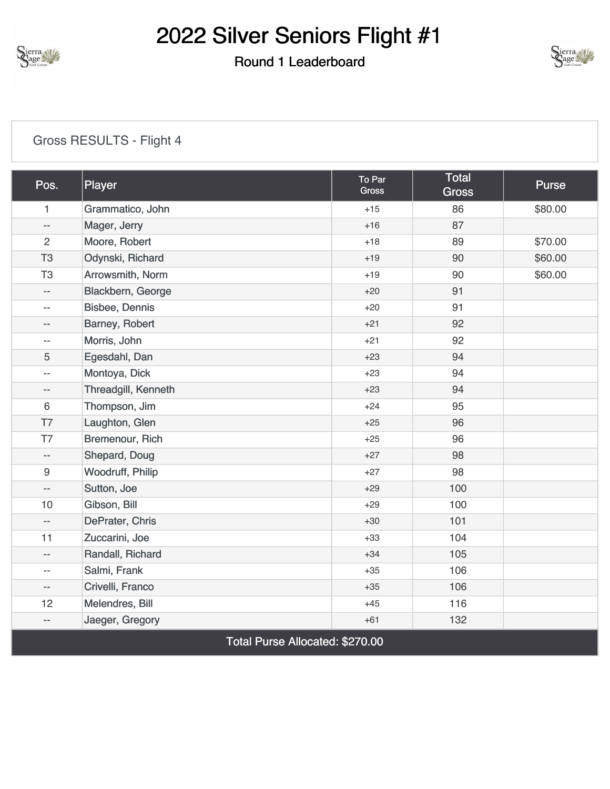

#### Round 1 Leaderboard



#### [Gross RESULTS - Flight 4](https://cdn2.golfgenius.com/v2tournaments/8346651784684511461?called_from=&round_index=1)

| Pos.                            | Player                | To Par<br><b>Gross</b> | <b>Total</b><br><b>Gross</b> | <b>Purse</b> |
|---------------------------------|-----------------------|------------------------|------------------------------|--------------|
| $\mathbf{1}$                    | Grammatico, John      | $+15$                  | 86                           | \$80.00      |
| $\overline{\phantom{m}}$        | Mager, Jerry          | $+16$                  | 87                           |              |
| $\overline{2}$                  | Moore, Robert         | $+18$                  | 89                           | \$70.00      |
| T <sub>3</sub>                  | Odynski, Richard      | $+19$                  | 90                           | \$60.00      |
| T <sub>3</sub>                  | Arrowsmith, Norm      | $+19$                  | 90                           | \$60.00      |
| $\overline{\phantom{m}}$        | Blackbern, George     | $+20$                  | 91                           |              |
| $\overline{\phantom{m}}$        | <b>Bisbee, Dennis</b> | $+20$                  | 91                           |              |
| --                              | Barney, Robert        | $+21$                  | 92                           |              |
| $- -$                           | Morris, John          | $+21$                  | 92                           |              |
| 5                               | Egesdahl, Dan         | $+23$                  | 94                           |              |
| $\overline{\phantom{m}}$        | Montoya, Dick         | $+23$                  | 94                           |              |
| $-$                             | Threadgill, Kenneth   | $+23$                  | 94                           |              |
| $6\,$                           | Thompson, Jim         | $+24$                  | 95                           |              |
| T7                              | Laughton, Glen        | $+25$                  | 96                           |              |
| T7                              | Bremenour, Rich       | $+25$                  | 96                           |              |
| $\overline{\phantom{a}}$        | Shepard, Doug         | $+27$                  | 98                           |              |
| $\boldsymbol{9}$                | Woodruff, Philip      | $+27$                  | 98                           |              |
| $\qquad \qquad -$               | Sutton, Joe           | $+29$                  | 100                          |              |
| 10                              | Gibson, Bill          | $+29$                  | 100                          |              |
| $\overline{\phantom{m}}$        | DePrater, Chris       | $+30$                  | 101                          |              |
| 11                              | Zuccarini, Joe        | $+33$                  | 104                          |              |
| $\overline{\phantom{m}}$        | Randall, Richard      | $+34$                  | 105                          |              |
| $-$                             | Salmi, Frank          | $+35$                  | 106                          |              |
| $\overline{\phantom{m}}$        | Crivelli, Franco      | $+35$                  | 106                          |              |
| 12                              | Melendres, Bill       | $+45$                  | 116                          |              |
| $\overline{\phantom{m}}$        | Jaeger, Gregory       | $+61$                  | 132                          |              |
| Total Purse Allocated: \$270.00 |                       |                        |                              |              |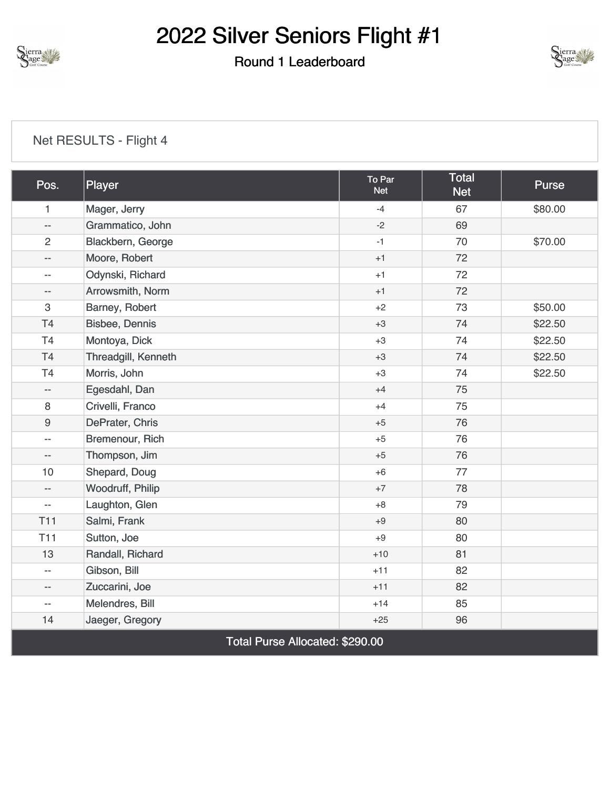

### Round 1 Leaderboard



| Pos.                            | Player                | To Par<br><b>Net</b> | <b>Total</b><br><b>Net</b> | <b>Purse</b> |
|---------------------------------|-----------------------|----------------------|----------------------------|--------------|
| 1                               | Mager, Jerry          | $-4$                 | 67                         | \$80.00      |
| $\overline{\phantom{m}}$        | Grammatico, John      | $-2$                 | 69                         |              |
| $\overline{2}$                  | Blackbern, George     | $-1$                 | 70                         | \$70.00      |
| $\overline{\phantom{m}}$        | Moore, Robert         | $+1$                 | 72                         |              |
| $\overline{\phantom{m}}$        | Odynski, Richard      | $+1$                 | 72                         |              |
| $- \, -$                        | Arrowsmith, Norm      | $+1$                 | 72                         |              |
| $\ensuremath{\mathsf{3}}$       | Barney, Robert        | $+2$                 | 73                         | \$50.00      |
| T4                              | <b>Bisbee, Dennis</b> | $+3$                 | 74                         | \$22.50      |
| T <sub>4</sub>                  | Montoya, Dick         | $+3$                 | 74                         | \$22.50      |
| T <sub>4</sub>                  | Threadgill, Kenneth   | $+3$                 | 74                         | \$22.50      |
| T4                              | Morris, John          | $+3$                 | 74                         | \$22.50      |
| $\overline{\phantom{m}}$        | Egesdahl, Dan         | $+4$                 | 75                         |              |
| 8                               | Crivelli, Franco      | $+4$                 | 75                         |              |
| $\boldsymbol{9}$                | DePrater, Chris       | $+5$                 | 76                         |              |
| $ \!-$                          | Bremenour, Rich       | $+5$                 | 76                         |              |
| --                              | Thompson, Jim         | $+5$                 | 76                         |              |
| 10                              | Shepard, Doug         | $+6$                 | 77                         |              |
| $\overline{\phantom{m}}$        | Woodruff, Philip      | $+7$                 | 78                         |              |
| $\overline{\phantom{m}}$        | Laughton, Glen        | $+8$                 | 79                         |              |
| <b>T11</b>                      | Salmi, Frank          | $+9$                 | 80                         |              |
| T11                             | Sutton, Joe           | $+9$                 | 80                         |              |
| 13                              | Randall, Richard      | $+10$                | 81                         |              |
| $\overline{\phantom{m}}$        | Gibson, Bill          | $+11$                | 82                         |              |
| $- -$                           | Zuccarini, Joe        | $+11$                | 82                         |              |
| $\overline{\phantom{m}}$        | Melendres, Bill       | $+14$                | 85                         |              |
| 14                              | Jaeger, Gregory       | $+25$                | 96                         |              |
| Total Purse Allocated: \$290.00 |                       |                      |                            |              |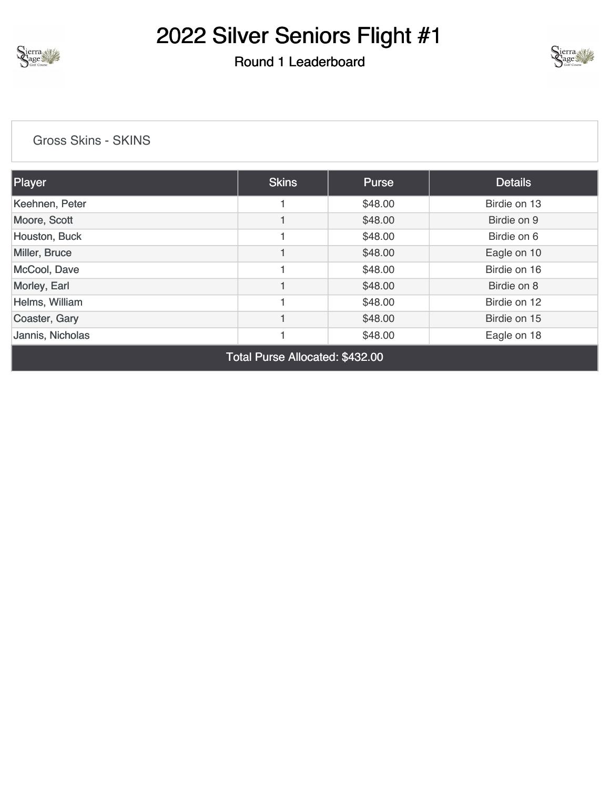

#### Round 1 Leaderboard



[Gross Skins - SKINS](https://cdn2.golfgenius.com/v2tournaments/8346656243598762225?called_from=&round_index=1)

| Player           | <b>Skins</b> | <b>Purse</b> | <b>Details</b> |
|------------------|--------------|--------------|----------------|
| Keehnen, Peter   |              | \$48.00      | Birdie on 13   |
| Moore, Scott     |              | \$48.00      | Birdie on 9    |
| Houston, Buck    |              | \$48.00      | Birdie on 6    |
| Miller, Bruce    |              | \$48.00      | Eagle on 10    |
| McCool, Dave     |              | \$48.00      | Birdie on 16   |
| Morley, Earl     |              | \$48.00      | Birdie on 8    |
| Helms, William   |              | \$48.00      | Birdie on 12   |
| Coaster, Gary    |              | \$48.00      | Birdie on 15   |
| Jannis, Nicholas |              | \$48.00      | Eagle on 18    |

Total Purse Allocated: \$432.00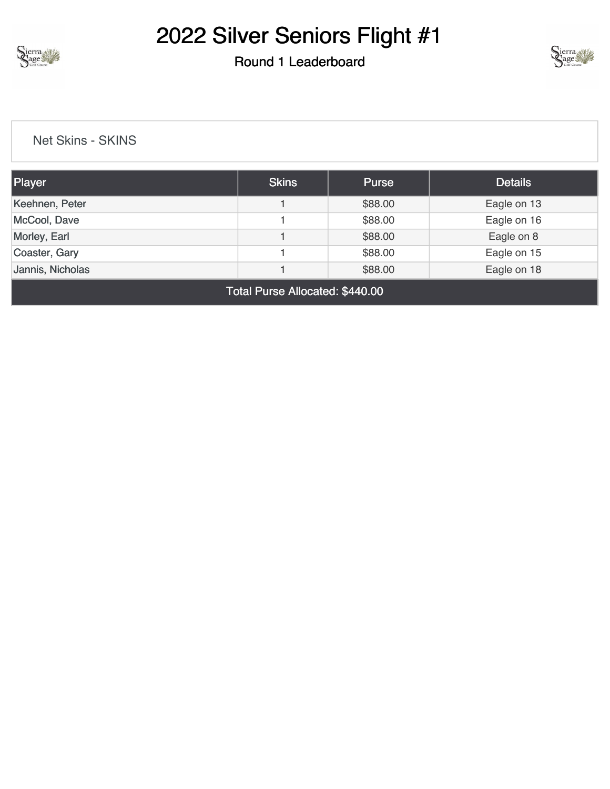

#### Round 1 Leaderboard



[Net Skins - SKINS](https://cdn2.golfgenius.com/v2tournaments/8346662700880765170?called_from=&round_index=1)

| Player                                     | <b>Skins</b> | Purse   | <b>Details</b> |  |  |
|--------------------------------------------|--------------|---------|----------------|--|--|
| Keehnen, Peter                             |              | \$88.00 | Eagle on 13    |  |  |
| McCool, Dave                               |              | \$88.00 | Eagle on 16    |  |  |
| Morley, Earl                               |              | \$88.00 | Eagle on 8     |  |  |
| Coaster, Gary                              |              | \$88.00 | Eagle on 15    |  |  |
| Jannis, Nicholas<br>\$88.00<br>Eagle on 18 |              |         |                |  |  |
| Total Purse Allocated: \$440.00            |              |         |                |  |  |